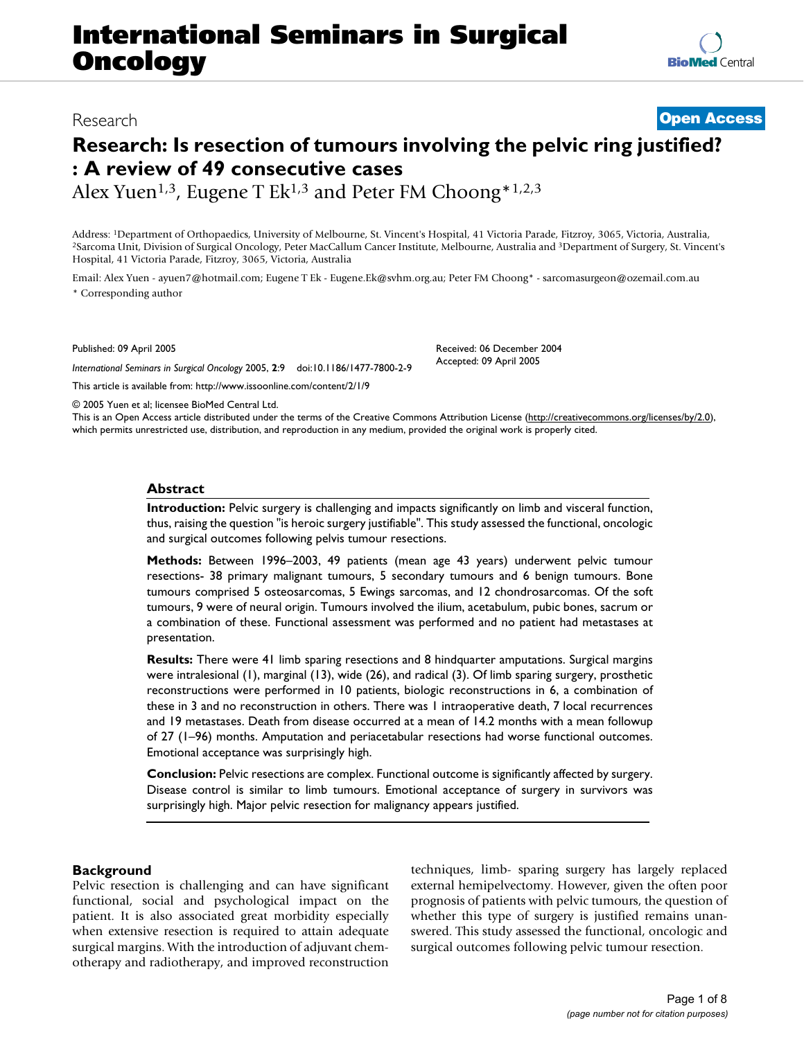# **International Seminars in Surgical Oncology**

# Research **[Open Access](http://www.biomedcentral.com/info/about/charter/)**

# **Research: Is resection of tumours involving the pelvic ring justified? : A review of 49 consecutive cases**

Alex Yuen<sup>1,3</sup>, Eugene T Ek<sup>1,3</sup> and Peter FM Choong\*<sup>1,2,3</sup>

Address: <sup>1</sup>Department of Orthopaedics, University of Melbourne, St. Vincent's Hospital, 41 Victoria Parade, Fitzroy, 3065, Victoria, Australia,<br><sup>2</sup>Sarcoma Unit, Division of Surgical Oncology, Peter MacCallum Cancer Instit Hospital, 41 Victoria Parade, Fitzroy, 3065, Victoria, Australia

Email: Alex Yuen - ayuen7@hotmail.com; Eugene T Ek - Eugene.Ek@svhm.org.au; Peter FM Choong\* - sarcomasurgeon@ozemail.com.au \* Corresponding author

Published: 09 April 2005

*International Seminars in Surgical Oncology* 2005, **2**:9 doi:10.1186/1477-7800-2-9

[This article is available from: http://www.issoonline.com/content/2/1/9](http://www.issoonline.com/content/2/1/9)

© 2005 Yuen et al; licensee BioMed Central Ltd.

This is an Open Access article distributed under the terms of the Creative Commons Attribution License [\(http://creativecommons.org/licenses/by/2.0\)](http://creativecommons.org/licenses/by/2.0), which permits unrestricted use, distribution, and reproduction in any medium, provided the original work is properly cited.

Received: 06 December 2004 Accepted: 09 April 2005

# **Abstract**

**Introduction:** Pelvic surgery is challenging and impacts significantly on limb and visceral function, thus, raising the question "is heroic surgery justifiable". This study assessed the functional, oncologic and surgical outcomes following pelvis tumour resections.

**Methods:** Between 1996–2003, 49 patients (mean age 43 years) underwent pelvic tumour resections- 38 primary malignant tumours, 5 secondary tumours and 6 benign tumours. Bone tumours comprised 5 osteosarcomas, 5 Ewings sarcomas, and 12 chondrosarcomas. Of the soft tumours, 9 were of neural origin. Tumours involved the ilium, acetabulum, pubic bones, sacrum or a combination of these. Functional assessment was performed and no patient had metastases at presentation.

**Results:** There were 41 limb sparing resections and 8 hindquarter amputations. Surgical margins were intralesional (1), marginal (13), wide (26), and radical (3). Of limb sparing surgery, prosthetic reconstructions were performed in 10 patients, biologic reconstructions in 6, a combination of these in 3 and no reconstruction in others. There was 1 intraoperative death, 7 local recurrences and 19 metastases. Death from disease occurred at a mean of 14.2 months with a mean followup of 27 (1–96) months. Amputation and periacetabular resections had worse functional outcomes. Emotional acceptance was surprisingly high.

**Conclusion:** Pelvic resections are complex. Functional outcome is significantly affected by surgery. Disease control is similar to limb tumours. Emotional acceptance of surgery in survivors was surprisingly high. Major pelvic resection for malignancy appears justified.

# **Background**

Pelvic resection is challenging and can have significant functional, social and psychological impact on the patient. It is also associated great morbidity especially when extensive resection is required to attain adequate surgical margins. With the introduction of adjuvant chemotherapy and radiotherapy, and improved reconstruction techniques, limb- sparing surgery has largely replaced external hemipelvectomy. However, given the often poor prognosis of patients with pelvic tumours, the question of whether this type of surgery is justified remains unanswered. This study assessed the functional, oncologic and surgical outcomes following pelvic tumour resection.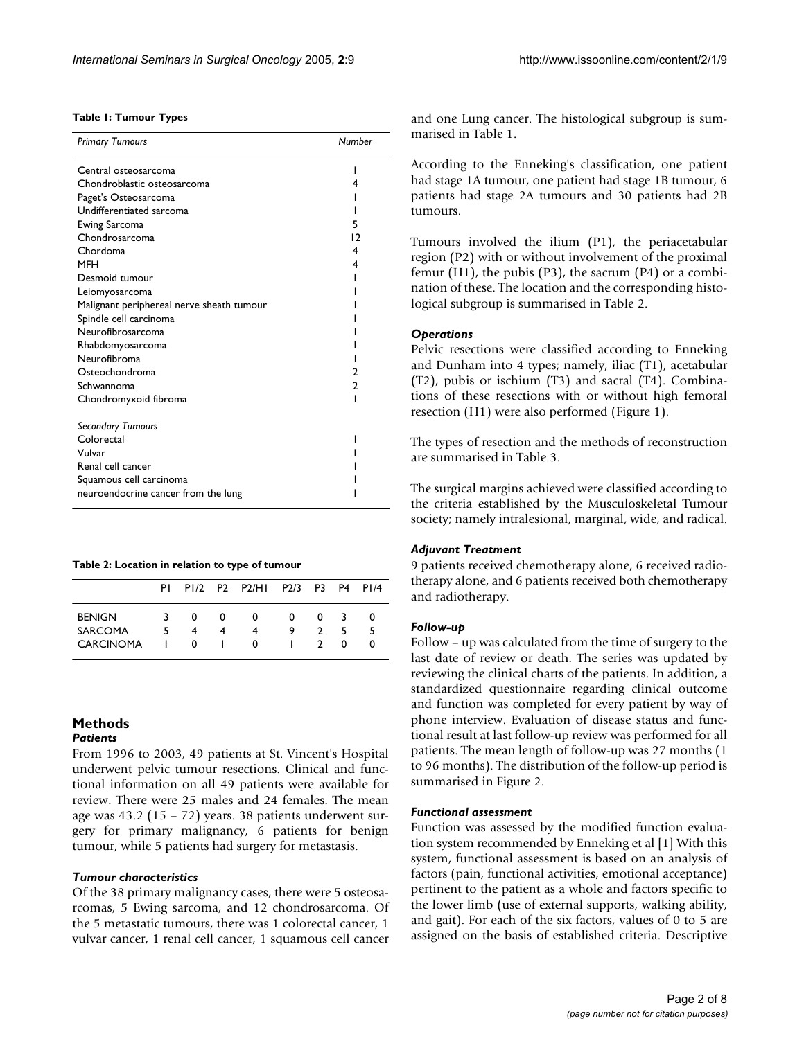# **Table 1: Tumour Types**

| <b>Primary Tumours</b>                    | Number |
|-------------------------------------------|--------|
| Central osteosarcoma                      | ı      |
| Chondroblastic osteosarcoma               | 4      |
| Paget's Osteosarcoma                      |        |
| Undifferentiated sarcoma                  |        |
| Ewing Sarcoma                             | 5      |
| Chondrosarcoma                            | 12     |
| Chordoma                                  | 4      |
| MFH                                       | 4      |
| Desmoid tumour                            |        |
| Leiomyosarcoma                            |        |
| Malignant periphereal nerve sheath tumour |        |
| Spindle cell carcinoma                    |        |
| Neurofibrosarcoma                         |        |
| Rhabdomyosarcoma                          |        |
| Neurofibroma                              |        |
| Osteochondroma                            |        |
| Schwannoma                                | 2      |
| Chondromyxoid fibroma                     |        |
| <b>Secondary Tumours</b>                  |        |
| Colorectal                                |        |
| Vulvar                                    |        |
| Renal cell cancer                         |        |
| Squamous cell carcinoma                   |        |
| neuroendocrine cancer from the lung       |        |

#### **Table 2: Location in relation to type of tumour**

|                                 |    |        |   | PI PI/2 P2 P2/HI | P2/3 P3 P4 P1/4 |               |              |         |
|---------------------------------|----|--------|---|------------------|-----------------|---------------|--------------|---------|
| <b>BENIGN</b><br><b>SARCOMA</b> | 5. | 0<br>4 | 0 | $\Omega$         | 0<br>9          | 0             | 3<br>5       | 0<br>-5 |
| <b>CARCINOMA</b>                |    | 0      |   | 0                |                 | $\mathcal{D}$ | <sup>0</sup> |         |

# **Methods** *Patients*

From 1996 to 2003, 49 patients at St. Vincent's Hospital underwent pelvic tumour resections. Clinical and functional information on all 49 patients were available for review. There were 25 males and 24 females. The mean age was 43.2 (15 – 72) years. 38 patients underwent surgery for primary malignancy, 6 patients for benign tumour, while 5 patients had surgery for metastasis.

#### *Tumour characteristics*

Of the 38 primary malignancy cases, there were 5 osteosarcomas, 5 Ewing sarcoma, and 12 chondrosarcoma. Of the 5 metastatic tumours, there was 1 colorectal cancer, 1 vulvar cancer, 1 renal cell cancer, 1 squamous cell cancer and one Lung cancer. The histological subgroup is summarised in Table 1.

According to the Enneking's classification, one patient had stage 1A tumour, one patient had stage 1B tumour, 6 patients had stage 2A tumours and 30 patients had 2B tumours.

Tumours involved the ilium (P1), the periacetabular region (P2) with or without involvement of the proximal femur  $(H1)$ , the pubis  $(P3)$ , the sacrum  $(P4)$  or a combination of these. The location and the corresponding histological subgroup is summarised in Table 2.

#### *Operations*

Pelvic resections were classified according to Enneking and Dunham into 4 types; namely, iliac (T1), acetabular (T2), pubis or ischium (T3) and sacral (T4). Combinations of these resections with or without high femoral resection (H1) were also performed (Figure 1).

The types of resection and the methods of reconstruction are summarised in Table [3](#page-2-0).

The surgical margins achieved were classified according to the criteria established by the Musculoskeletal Tumour society; namely intralesional, marginal, wide, and radical.

#### *Adjuvant Treatment*

9 patients received chemotherapy alone, 6 received radiotherapy alone, and 6 patients received both chemotherapy and radiotherapy.

## *Follow-up*

Follow – up was calculated from the time of surgery to the last date of review or death. The series was updated by reviewing the clinical charts of the patients. In addition, a standardized questionnaire regarding clinical outcome and function was completed for every patient by way of phone interview. Evaluation of disease status and functional result at last follow-up review was performed for all patients. The mean length of follow-up was 27 months (1 to 96 months). The distribution of the follow-up period is summarised in Figure 2.

#### *Functional assessment*

Function was assessed by the modified function evaluation system recommended by Enneking et al [1] With this system, functional assessment is based on an analysis of factors (pain, functional activities, emotional acceptance) pertinent to the patient as a whole and factors specific to the lower limb (use of external supports, walking ability, and gait). For each of the six factors, values of 0 to 5 are assigned on the basis of established criteria. Descriptive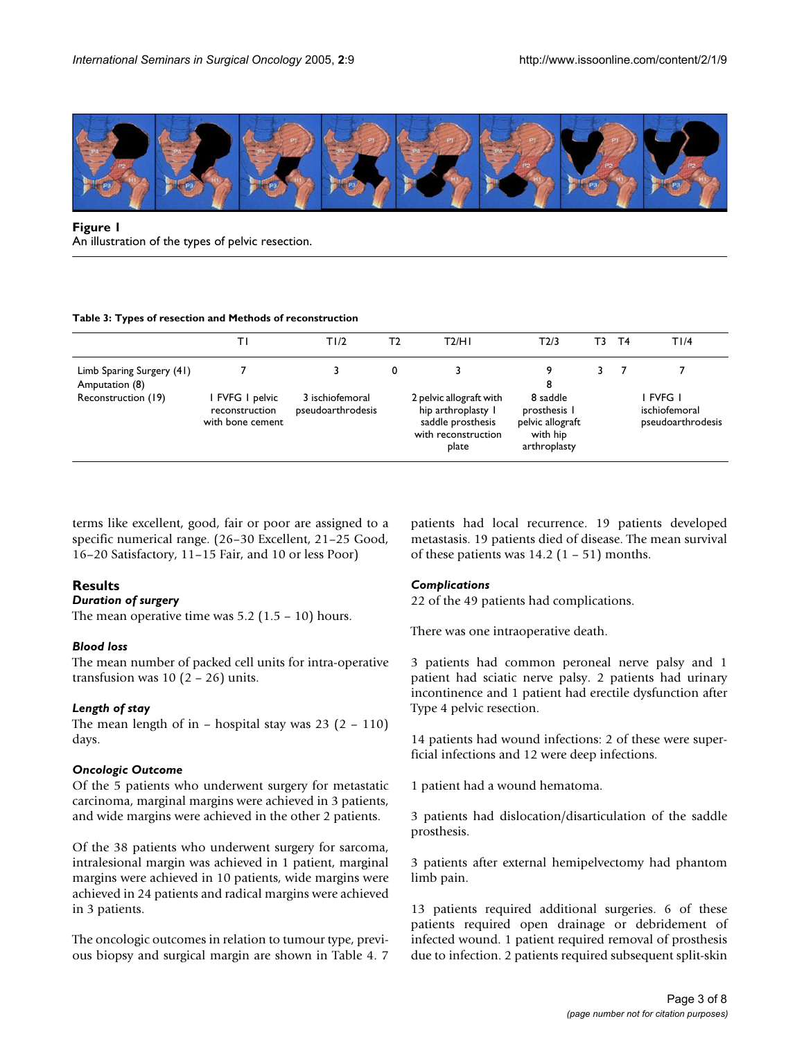

# **Figure 1** An illustration of the types of pelvic resection.

### <span id="page-2-0"></span>**Table 3: Types of resection and Methods of reconstruction**

|                                             |                                                     | T1/2                                 | Т2 | T2/H1                                                                                              | T2/3                                                                     | Г3 | Τ4 | T1/4                                           |
|---------------------------------------------|-----------------------------------------------------|--------------------------------------|----|----------------------------------------------------------------------------------------------------|--------------------------------------------------------------------------|----|----|------------------------------------------------|
| Limb Sparing Surgery (41)<br>Amputation (8) |                                                     |                                      | 0  |                                                                                                    | 9<br>8                                                                   |    |    |                                                |
| Reconstruction (19)                         | FVFG I pelvic<br>reconstruction<br>with bone cement | 3 ischiofemoral<br>pseudoarthrodesis |    | 2 pelvic allograft with<br>hip arthroplasty I<br>saddle prosthesis<br>with reconstruction<br>plate | 8 saddle<br>prosthesis I<br>pelvic allograft<br>with hip<br>arthroplasty |    |    | i fyfg i<br>ischiofemoral<br>pseudoarthrodesis |

terms like excellent, good, fair or poor are assigned to a specific numerical range. (26–30 Excellent, 21–25 Good, 16–20 Satisfactory, 11–15 Fair, and 10 or less Poor)

# **Results**

# *Duration of surgery*

The mean operative time was  $5.2$  ( $1.5 - 10$ ) hours.

# *Blood loss*

The mean number of packed cell units for intra-operative transfusion was  $10(2 - 26)$  units.

### *Length of stay*

The mean length of in – hospital stay was  $23$  (2 – 110) days.

### *Oncologic Outcome*

Of the 5 patients who underwent surgery for metastatic carcinoma, marginal margins were achieved in 3 patients, and wide margins were achieved in the other 2 patients.

Of the 38 patients who underwent surgery for sarcoma, intralesional margin was achieved in 1 patient, marginal margins were achieved in 10 patients, wide margins were achieved in 24 patients and radical margins were achieved in 3 patients.

The oncologic outcomes in relation to tumour type, previous biopsy and surgical margin are shown in Table [4.](#page-3-0) 7 patients had local recurrence. 19 patients developed metastasis. 19 patients died of disease. The mean survival of these patients was  $14.2$  (1 – 51) months.

# *Complications*

22 of the 49 patients had complications.

There was one intraoperative death.

3 patients had common peroneal nerve palsy and 1 patient had sciatic nerve palsy. 2 patients had urinary incontinence and 1 patient had erectile dysfunction after Type 4 pelvic resection.

14 patients had wound infections: 2 of these were superficial infections and 12 were deep infections.

1 patient had a wound hematoma.

3 patients had dislocation/disarticulation of the saddle prosthesis.

3 patients after external hemipelvectomy had phantom limb pain.

13 patients required additional surgeries. 6 of these patients required open drainage or debridement of infected wound. 1 patient required removal of prosthesis due to infection. 2 patients required subsequent split-skin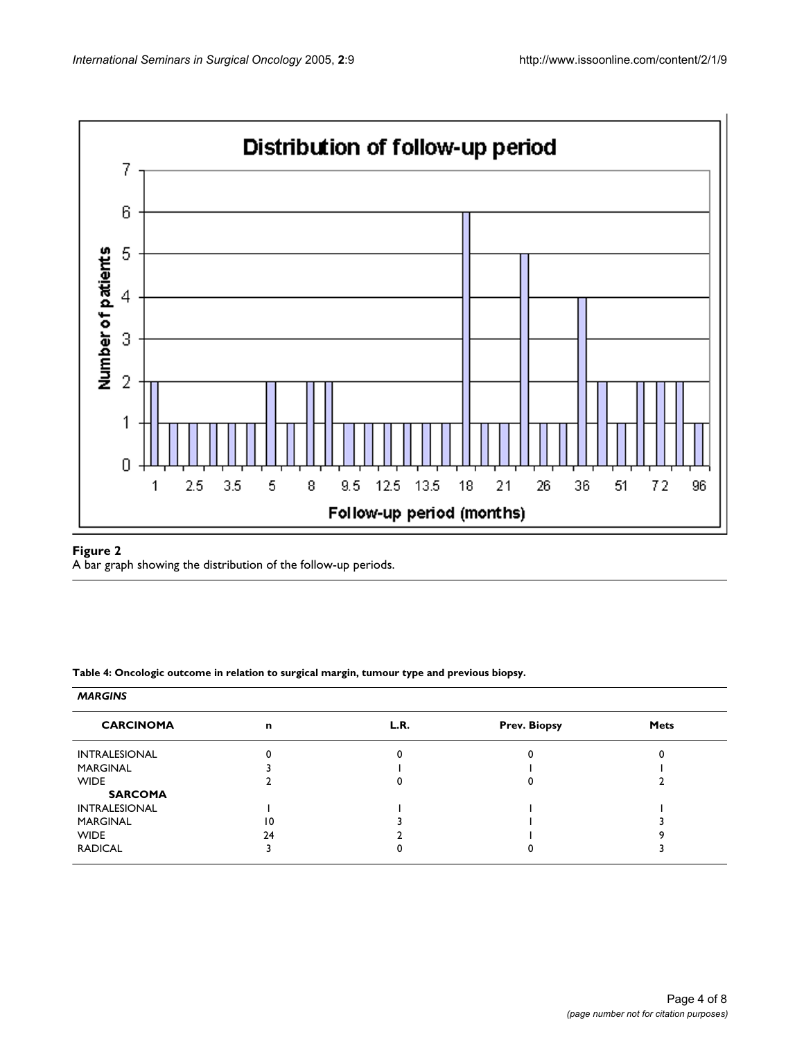

# Figure 2

A bar graph showing the distribution of the follow-up periods.

<span id="page-3-0"></span>**Table 4: Oncologic outcome in relation to surgical margin, tumour type and previous biopsy.**

### *MARGINS*

| <b>CARCINOMA</b>     | n               | L.R. | <b>Prev. Biopsy</b> | <b>Mets</b> |
|----------------------|-----------------|------|---------------------|-------------|
| <b>INTRALESIONAL</b> |                 |      |                     |             |
| MARGINAL             |                 |      |                     |             |
| <b>WIDE</b>          |                 |      |                     |             |
| <b>SARCOMA</b>       |                 |      |                     |             |
| <b>INTRALESIONAL</b> |                 |      |                     |             |
| <b>MARGINAL</b>      | $\overline{10}$ |      |                     |             |
| <b>WIDE</b>          | 24              |      |                     |             |
| <b>RADICAL</b>       |                 |      |                     |             |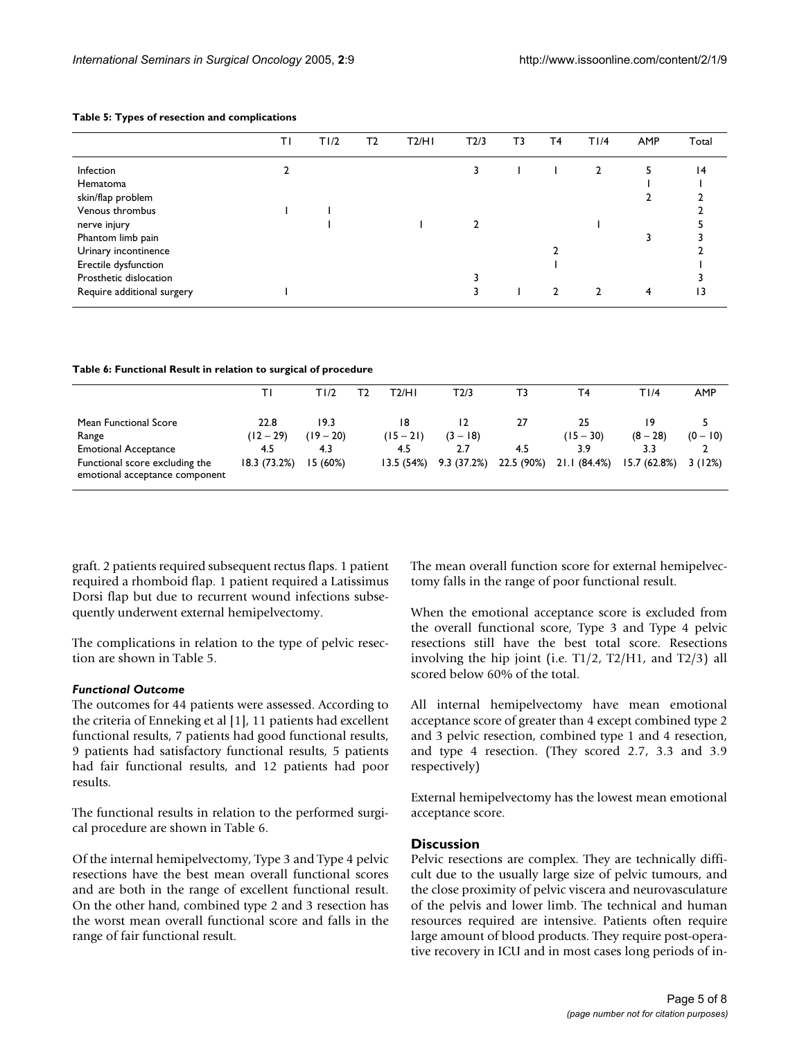|                            | ΤI | T1/2 | Т2 | T2/H1 | T2/3 | ΤЗ | T4 | T1/4         | AMP | Total |
|----------------------------|----|------|----|-------|------|----|----|--------------|-----|-------|
| Infection                  |    |      |    |       | 3    |    |    | $\mathbf{2}$ |     | 4     |
| Hematoma                   |    |      |    |       |      |    |    |              |     |       |
| skin/flap problem          |    |      |    |       |      |    |    |              |     |       |
| Venous thrombus            |    |      |    |       |      |    |    |              |     |       |
| nerve injury               |    |      |    |       |      |    |    |              |     |       |
| Phantom limb pain          |    |      |    |       |      |    |    |              |     |       |
| Urinary incontinence       |    |      |    |       |      |    |    |              |     |       |
| Erectile dysfunction       |    |      |    |       |      |    |    |              |     |       |
| Prosthetic dislocation     |    |      |    |       |      |    |    |              |     |       |
| Require additional surgery |    |      |    |       |      |    | າ  | 2            | 4   | 13    |

#### <span id="page-4-0"></span>**Table 5: Types of resection and complications**

<span id="page-4-1"></span>**Table 6: Functional Result in relation to surgical of procedure**

|                                                                                                                                   | ΤL                                         | TI/2                                  | Т2 | T2/HI                                 | T2/3                                  | тз                      | Τ4                                       | T I /4                            | <b>AMP</b>           |
|-----------------------------------------------------------------------------------------------------------------------------------|--------------------------------------------|---------------------------------------|----|---------------------------------------|---------------------------------------|-------------------------|------------------------------------------|-----------------------------------|----------------------|
| Mean Functional Score<br>Range<br><b>Emotional Acceptance</b><br>Functional score excluding the<br>emotional acceptance component | 22.8<br>$(12 - 29)$<br>4.5<br>18.3 (73.2%) | 19.3<br>$(19 - 20)$<br>4.3<br>15(60%) |    | 18<br>$(15 - 21)$<br>4.5<br>13.5(54%) | 12<br>$(3 - 18)$<br>2.7<br>9.3(37.2%) | 27<br>4.5<br>22.5 (90%) | 25<br>$(15 - 30)$<br>3.9<br>21.1 (84.4%) | $(8 - 28)$<br>3.3<br>15.7 (62.8%) | $(0 - 10)$<br>3(12%) |

graft. 2 patients required subsequent rectus flaps. 1 patient required a rhomboid flap. 1 patient required a Latissimus Dorsi flap but due to recurrent wound infections subsequently underwent external hemipelvectomy.

The complications in relation to the type of pelvic resection are shown in Table [5.](#page-4-0)

### *Functional Outcome*

The outcomes for 44 patients were assessed. According to the criteria of Enneking et al [1], 11 patients had excellent functional results, 7 patients had good functional results, 9 patients had satisfactory functional results, 5 patients had fair functional results, and 12 patients had poor results.

The functional results in relation to the performed surgical procedure are shown in Table [6](#page-4-1).

Of the internal hemipelvectomy, Type 3 and Type 4 pelvic resections have the best mean overall functional scores and are both in the range of excellent functional result. On the other hand, combined type 2 and 3 resection has the worst mean overall functional score and falls in the range of fair functional result.

The mean overall function score for external hemipelvectomy falls in the range of poor functional result.

When the emotional acceptance score is excluded from the overall functional score, Type 3 and Type 4 pelvic resections still have the best total score. Resections involving the hip joint (i.e.  $T1/2$ ,  $T2/H1$ , and  $T2/3$ ) all scored below 60% of the total.

All internal hemipelvectomy have mean emotional acceptance score of greater than 4 except combined type 2 and 3 pelvic resection, combined type 1 and 4 resection, and type 4 resection. (They scored 2.7, 3.3 and 3.9 respectively)

External hemipelvectomy has the lowest mean emotional acceptance score.

# **Discussion**

Pelvic resections are complex. They are technically difficult due to the usually large size of pelvic tumours, and the close proximity of pelvic viscera and neurovasculature of the pelvis and lower limb. The technical and human resources required are intensive. Patients often require large amount of blood products. They require post-operative recovery in ICU and in most cases long periods of in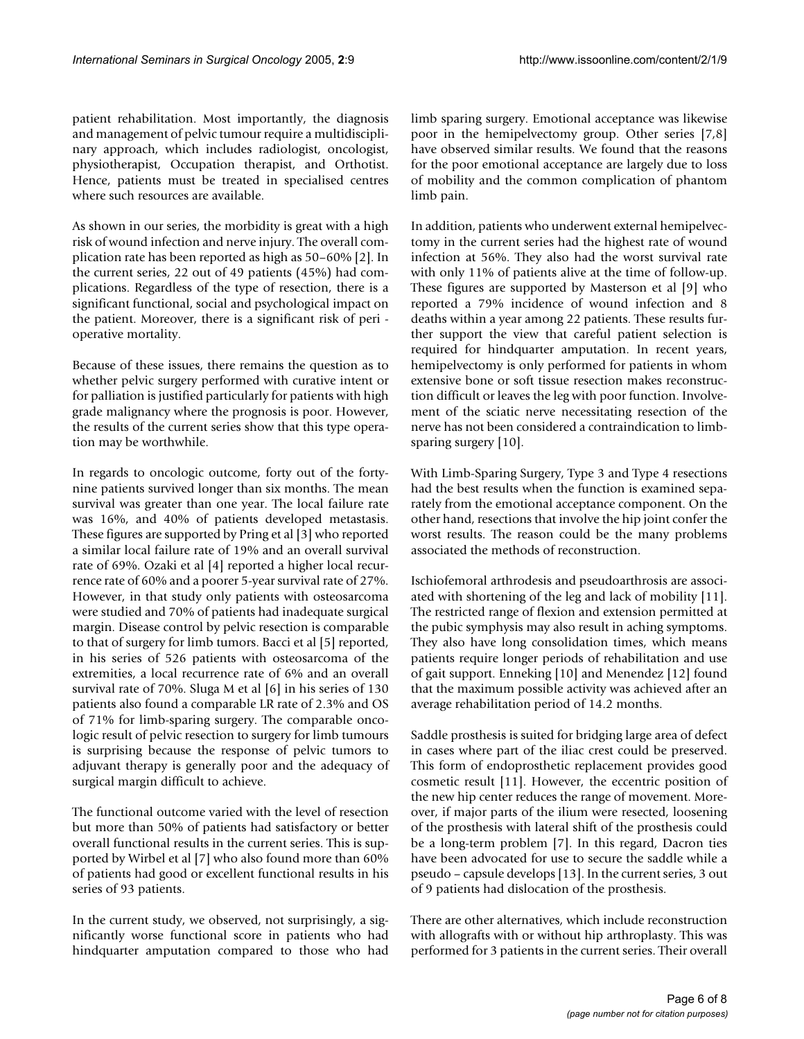patient rehabilitation. Most importantly, the diagnosis and management of pelvic tumour require a multidisciplinary approach, which includes radiologist, oncologist, physiotherapist, Occupation therapist, and Orthotist. Hence, patients must be treated in specialised centres where such resources are available.

As shown in our series, the morbidity is great with a high risk of wound infection and nerve injury. The overall complication rate has been reported as high as 50–60% [2]. In the current series, 22 out of 49 patients (45%) had complications. Regardless of the type of resection, there is a significant functional, social and psychological impact on the patient. Moreover, there is a significant risk of peri operative mortality.

Because of these issues, there remains the question as to whether pelvic surgery performed with curative intent or for palliation is justified particularly for patients with high grade malignancy where the prognosis is poor. However, the results of the current series show that this type operation may be worthwhile.

In regards to oncologic outcome, forty out of the fortynine patients survived longer than six months. The mean survival was greater than one year. The local failure rate was 16%, and 40% of patients developed metastasis. These figures are supported by Pring et al [3] who reported a similar local failure rate of 19% and an overall survival rate of 69%. Ozaki et al [4] reported a higher local recurrence rate of 60% and a poorer 5-year survival rate of 27%. However, in that study only patients with osteosarcoma were studied and 70% of patients had inadequate surgical margin. Disease control by pelvic resection is comparable to that of surgery for limb tumors. Bacci et al [5] reported, in his series of 526 patients with osteosarcoma of the extremities, a local recurrence rate of 6% and an overall survival rate of 70%. Sluga M et al [6] in his series of 130 patients also found a comparable LR rate of 2.3% and OS of 71% for limb-sparing surgery. The comparable oncologic result of pelvic resection to surgery for limb tumours is surprising because the response of pelvic tumors to adjuvant therapy is generally poor and the adequacy of surgical margin difficult to achieve.

The functional outcome varied with the level of resection but more than 50% of patients had satisfactory or better overall functional results in the current series. This is supported by Wirbel et al [7] who also found more than 60% of patients had good or excellent functional results in his series of 93 patients.

In the current study, we observed, not surprisingly, a significantly worse functional score in patients who had hindquarter amputation compared to those who had limb sparing surgery. Emotional acceptance was likewise poor in the hemipelvectomy group. Other series [7,8] have observed similar results. We found that the reasons for the poor emotional acceptance are largely due to loss of mobility and the common complication of phantom limb pain.

In addition, patients who underwent external hemipelvectomy in the current series had the highest rate of wound infection at 56%. They also had the worst survival rate with only 11% of patients alive at the time of follow-up. These figures are supported by Masterson et al [9] who reported a 79% incidence of wound infection and 8 deaths within a year among 22 patients. These results further support the view that careful patient selection is required for hindquarter amputation. In recent years, hemipelvectomy is only performed for patients in whom extensive bone or soft tissue resection makes reconstruction difficult or leaves the leg with poor function. Involvement of the sciatic nerve necessitating resection of the nerve has not been considered a contraindication to limbsparing surgery [10].

With Limb-Sparing Surgery, Type 3 and Type 4 resections had the best results when the function is examined separately from the emotional acceptance component. On the other hand, resections that involve the hip joint confer the worst results. The reason could be the many problems associated the methods of reconstruction.

Ischiofemoral arthrodesis and pseudoarthrosis are associated with shortening of the leg and lack of mobility [11]. The restricted range of flexion and extension permitted at the pubic symphysis may also result in aching symptoms. They also have long consolidation times, which means patients require longer periods of rehabilitation and use of gait support. Enneking [10] and Menendez [12] found that the maximum possible activity was achieved after an average rehabilitation period of 14.2 months.

Saddle prosthesis is suited for bridging large area of defect in cases where part of the iliac crest could be preserved. This form of endoprosthetic replacement provides good cosmetic result [11]. However, the eccentric position of the new hip center reduces the range of movement. Moreover, if major parts of the ilium were resected, loosening of the prosthesis with lateral shift of the prosthesis could be a long-term problem [7]. In this regard, Dacron ties have been advocated for use to secure the saddle while a pseudo – capsule develops [13]. In the current series, 3 out of 9 patients had dislocation of the prosthesis.

There are other alternatives, which include reconstruction with allografts with or without hip arthroplasty. This was performed for 3 patients in the current series. Their overall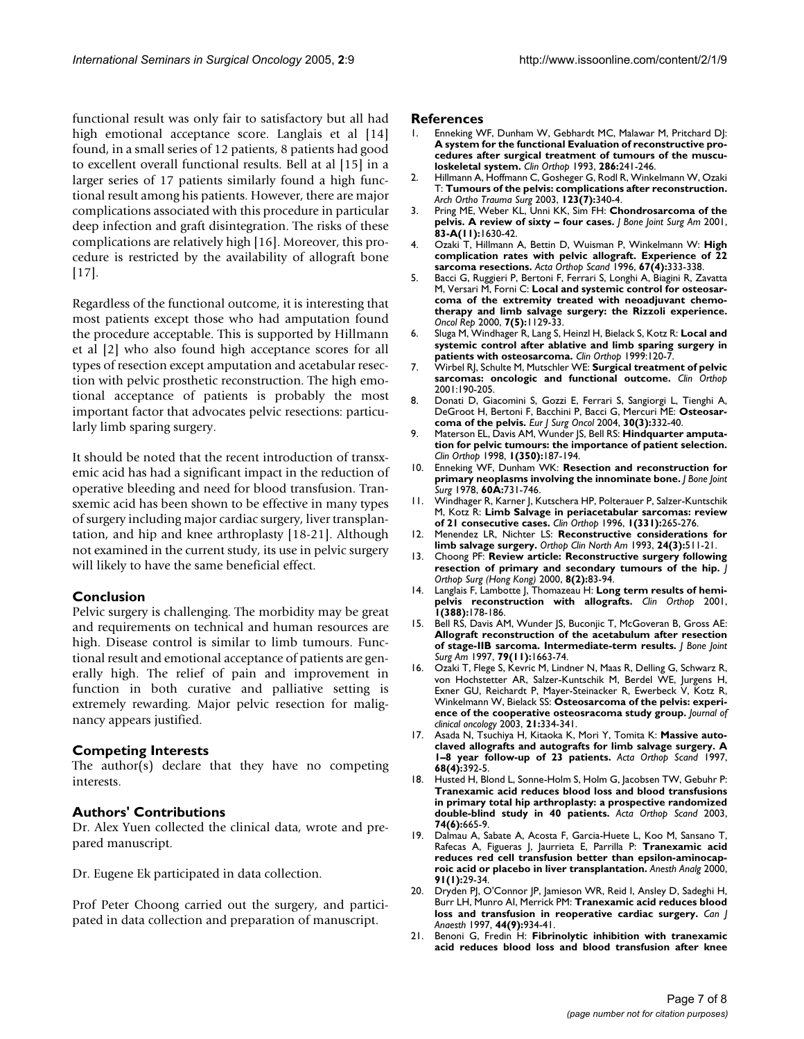functional result was only fair to satisfactory but all had high emotional acceptance score. Langlais et al [14] found, in a small series of 12 patients, 8 patients had good to excellent overall functional results. Bell at al [15] in a larger series of 17 patients similarly found a high functional result among his patients. However, there are major complications associated with this procedure in particular deep infection and graft disintegration. The risks of these complications are relatively high [16]. Moreover, this procedure is restricted by the availability of allograft bone [17].

Regardless of the functional outcome, it is interesting that most patients except those who had amputation found the procedure acceptable. This is supported by Hillmann et al [2] who also found high acceptance scores for all types of resection except amputation and acetabular resection with pelvic prosthetic reconstruction. The high emotional acceptance of patients is probably the most important factor that advocates pelvic resections: particularly limb sparing surgery.

It should be noted that the recent introduction of transxemic acid has had a significant impact in the reduction of operative bleeding and need for blood transfusion. Transxemic acid has been shown to be effective in many types of surgery including major cardiac surgery, liver transplantation, and hip and knee arthroplasty [18-21]. Although not examined in the current study, its use in pelvic surgery will likely to have the same beneficial effect.

# **Conclusion**

Pelvic surgery is challenging. The morbidity may be great and requirements on technical and human resources are high. Disease control is similar to limb tumours. Functional result and emotional acceptance of patients are generally high. The relief of pain and improvement in function in both curative and palliative setting is extremely rewarding. Major pelvic resection for malignancy appears justified.

# **Competing Interests**

The author(s) declare that they have no competing interests.

### **Authors' Contributions**

Dr. Alex Yuen collected the clinical data, wrote and prepared manuscript.

Dr. Eugene Ek participated in data collection.

Prof Peter Choong carried out the surgery, and participated in data collection and preparation of manuscript.

#### **References**

- 1. Enneking WF, Dunham W, Gebhardt MC, Malawar M, Pritchard DJ: **[A system for the functional Evaluation of reconstructive pro](http://www.ncbi.nlm.nih.gov/entrez/query.fcgi?cmd=Retrieve&db=PubMed&dopt=Abstract&list_uids=8425352)cedures after surgical treatment of tumours of the muscu[loskeletal system.](http://www.ncbi.nlm.nih.gov/entrez/query.fcgi?cmd=Retrieve&db=PubMed&dopt=Abstract&list_uids=8425352)** *Clin Orthop* 1993, **286:**241-246.
- 2. Hillmann A, Hoffmann C, Gosheger G, Rodl R, Winkelmann W, Ozaki T: **Tumours of the pelvis: complications after reconstruction.** *Arch Ortho Trauma Surg* 2003, **123(7):**340-4.
- 3. Pring ME, Weber KL, Unni KK, Sim FH: **[Chondrosarcoma of the](http://www.ncbi.nlm.nih.gov/entrez/query.fcgi?cmd=Retrieve&db=PubMed&dopt=Abstract&list_uids=11701784) [pelvis. A review of sixty – four cases.](http://www.ncbi.nlm.nih.gov/entrez/query.fcgi?cmd=Retrieve&db=PubMed&dopt=Abstract&list_uids=11701784)** *J Bone Joint Surg Am* 2001, **83-A(11):**1630-42.
- 4. Ozaki T, Hillmann A, Bettin D, Wuisman P, Winkelmann W: **[High](http://www.ncbi.nlm.nih.gov/entrez/query.fcgi?cmd=Retrieve&db=PubMed&dopt=Abstract&list_uids=8792734) [complication rates with pelvic allograft. Experience of 22](http://www.ncbi.nlm.nih.gov/entrez/query.fcgi?cmd=Retrieve&db=PubMed&dopt=Abstract&list_uids=8792734) [sarcoma resections.](http://www.ncbi.nlm.nih.gov/entrez/query.fcgi?cmd=Retrieve&db=PubMed&dopt=Abstract&list_uids=8792734)** *Acta Orthop Scand* 1996, **67(4):**333-338.
- 5. Bacci G, Ruggieri P, Bertoni F, Ferrari S, Longhi A, Biagini R, Zavatta M, Versari M, Forni C: **[Local and systemic control for osteosar](http://www.ncbi.nlm.nih.gov/entrez/query.fcgi?cmd=Retrieve&db=PubMed&dopt=Abstract&list_uids=10948351)[coma of the extremity treated with neoadjuvant chemo](http://www.ncbi.nlm.nih.gov/entrez/query.fcgi?cmd=Retrieve&db=PubMed&dopt=Abstract&list_uids=10948351)therapy and limb salvage surgery: the Rizzoli experience.** *Oncol Rep* 2000, **7(5):**1129-33.
- 6. Sluga M, Windhager R, Lang S, Heinzl H, Bielack S, Kotz R: **[Local and](http://www.ncbi.nlm.nih.gov/entrez/query.fcgi?cmd=Retrieve&db=PubMed&dopt=Abstract&list_uids=9973983) [systemic control after ablative and limb sparing surgery in](http://www.ncbi.nlm.nih.gov/entrez/query.fcgi?cmd=Retrieve&db=PubMed&dopt=Abstract&list_uids=9973983) [patients with osteosarcoma.](http://www.ncbi.nlm.nih.gov/entrez/query.fcgi?cmd=Retrieve&db=PubMed&dopt=Abstract&list_uids=9973983)** *Clin Orthop* 1999:120-7.
- 7. Wirbel RJ, Schulte M, Mutschler WE: **[Surgical treatment of pelvic](http://www.ncbi.nlm.nih.gov/entrez/query.fcgi?cmd=Retrieve&db=PubMed&dopt=Abstract&list_uids=11550866) [sarcomas: oncologic and functional outcome.](http://www.ncbi.nlm.nih.gov/entrez/query.fcgi?cmd=Retrieve&db=PubMed&dopt=Abstract&list_uids=11550866)** *Clin Orthop* 2001:190-205.
- 8. Donati D, Giacomini S, Gozzi E, Ferrari S, Sangiorgi L, Tienghi A, DeGroot H, Bertoni F, Bacchini P, Bacci G, Mercuri ME: **[Osteosar](http://www.ncbi.nlm.nih.gov/entrez/query.fcgi?cmd=Retrieve&db=PubMed&dopt=Abstract&list_uids=15028318)[coma of the pelvis.](http://www.ncbi.nlm.nih.gov/entrez/query.fcgi?cmd=Retrieve&db=PubMed&dopt=Abstract&list_uids=15028318)** *Eur J Surg Oncol* 2004, **30(3):**332-40.
- 9. Materson EL, Davis AM, Wunder JS, Bell RS: **Hindquarter amputation for pelvic tumours: the importance of patient selection.** *Clin Orthop* 1998, **1(350):**187-194.
- 10. Enneking WF, Dunham WK: **Resection and reconstruction for primary neoplasms involving the innominate bone.** *J Bone Joint Surg* 1978, **60A:**731-746.
- 11. Windhager R, Karner J, Kutschera HP, Polterauer P, Salzer-Kuntschik M, Kotz R: **Limb Salvage in periacetabular sarcomas: review of 21 consecutive cases.** *Clin Orthop* 1996, **1(331):**265-276.
- 12. Menendez LR, Nichter LS: **[Reconstructive considerations for](http://www.ncbi.nlm.nih.gov/entrez/query.fcgi?cmd=Retrieve&db=PubMed&dopt=Abstract&list_uids=8341523) [limb salvage surgery.](http://www.ncbi.nlm.nih.gov/entrez/query.fcgi?cmd=Retrieve&db=PubMed&dopt=Abstract&list_uids=8341523)** *Orthop Clin North Am* 1993, **24(3):**511-21.
- 13. Choong PF: **[Review article: Reconstructive surgery following](http://www.ncbi.nlm.nih.gov/entrez/query.fcgi?cmd=Retrieve&db=PubMed&dopt=Abstract&list_uids=12468866) [resection of primary and secondary tumours of the hip.](http://www.ncbi.nlm.nih.gov/entrez/query.fcgi?cmd=Retrieve&db=PubMed&dopt=Abstract&list_uids=12468866)** *J Orthop Surg (Hong Kong)* 2000, **8(2):**83-94.
- 14. Langlais F, Lambotte J, Thomazeau H: **Long term results of hemipelvis reconstruction with allografts.** *Clin Orthop* 2001, **1(388):**178-186.
- 15. Bell RS, Davis AM, Wunder JS, Buconjic T, McGoveran B, Gross AE: **[Allograft reconstruction of the acetabulum after resection](http://www.ncbi.nlm.nih.gov/entrez/query.fcgi?cmd=Retrieve&db=PubMed&dopt=Abstract&list_uids=9384426) [of stage-IIB sarcoma. Intermediate-term results.](http://www.ncbi.nlm.nih.gov/entrez/query.fcgi?cmd=Retrieve&db=PubMed&dopt=Abstract&list_uids=9384426)** *J Bone Joint Surg Am* 1997, **79(11):**1663-74.
- 16. Ozaki T, Flege S, Kevric M, Lindner N, Maas R, Delling G, Schwarz R, von Hochstetter AR, Salzer-Kuntschik M, Berdel WE, Jurgens H, Exner GU, Reichardt P, Mayer-Steinacker R, Ewerbeck V, Kotz R, Winkelmann W, Bielack SS: **[Osteosarcoma of the pelvis: experi](http://www.ncbi.nlm.nih.gov/entrez/query.fcgi?cmd=Retrieve&db=PubMed&dopt=Abstract&list_uids=12525527)[ence of the cooperative osteosracoma study group.](http://www.ncbi.nlm.nih.gov/entrez/query.fcgi?cmd=Retrieve&db=PubMed&dopt=Abstract&list_uids=12525527)** *Journal of clinical oncology* 2003, **21:**334-341.
- 17. Asada N, Tsuchiya H, Kitaoka K, Mori Y, Tomita K: **[Massive auto](http://www.ncbi.nlm.nih.gov/entrez/query.fcgi?cmd=Retrieve&db=PubMed&dopt=Abstract&list_uids=9310047)[claved allografts and autografts for limb salvage surgery. A](http://www.ncbi.nlm.nih.gov/entrez/query.fcgi?cmd=Retrieve&db=PubMed&dopt=Abstract&list_uids=9310047) [1–8 year follow-up of 23 patients.](http://www.ncbi.nlm.nih.gov/entrez/query.fcgi?cmd=Retrieve&db=PubMed&dopt=Abstract&list_uids=9310047)** *Acta Orthop Scand* 1997, **68(4):**392-5.
- 18. Husted H, Blond L, Sonne-Holm S, Holm G, Jacobsen TW, Gebuhr P: **[Tranexamic acid reduces blood loss and blood transfusions](http://www.ncbi.nlm.nih.gov/entrez/query.fcgi?cmd=Retrieve&db=PubMed&dopt=Abstract&list_uids=14763696) in primary total hip arthroplasty: a prospective randomized [double-blind study in 40 patients.](http://www.ncbi.nlm.nih.gov/entrez/query.fcgi?cmd=Retrieve&db=PubMed&dopt=Abstract&list_uids=14763696)** *Acta Orthop Scand* 2003, **74(6):**665-9.
- 19. Dalmau A, Sabate A, Acosta F, Garcia-Huete L, Koo M, Sansano T, Rafecas A, Figueras J, Jaurrieta E, Parrilla P: **[Tranexamic acid](http://www.ncbi.nlm.nih.gov/entrez/query.fcgi?cmd=Retrieve&db=PubMed&dopt=Abstract&list_uids=10866882) [reduces red cell transfusion better than epsilon-aminocap](http://www.ncbi.nlm.nih.gov/entrez/query.fcgi?cmd=Retrieve&db=PubMed&dopt=Abstract&list_uids=10866882)[roic acid or placebo in liver transplantation.](http://www.ncbi.nlm.nih.gov/entrez/query.fcgi?cmd=Retrieve&db=PubMed&dopt=Abstract&list_uids=10866882)** *Anesth Analg* 2000, **91(1):**29-34.
- 20. Dryden PJ, O'Connor JP, Jamieson WR, Reid I, Ansley D, Sadeghi H, Burr LH, Munro AI, Merrick PM: **[Tranexamic acid reduces blood](http://www.ncbi.nlm.nih.gov/entrez/query.fcgi?cmd=Retrieve&db=PubMed&dopt=Abstract&list_uids=9305556) [loss and transfusion in reoperative cardiac surgery.](http://www.ncbi.nlm.nih.gov/entrez/query.fcgi?cmd=Retrieve&db=PubMed&dopt=Abstract&list_uids=9305556)** *Can J Anaesth* 1997, **44(9):**934-41.
- 21. Benoni G, Fredin H: **[Fibrinolytic inhibition with tranexamic](http://www.ncbi.nlm.nih.gov/entrez/query.fcgi?cmd=Retrieve&db=PubMed&dopt=Abstract&list_uids=8636182) [acid reduces blood loss and blood transfusion after knee](http://www.ncbi.nlm.nih.gov/entrez/query.fcgi?cmd=Retrieve&db=PubMed&dopt=Abstract&list_uids=8636182)**